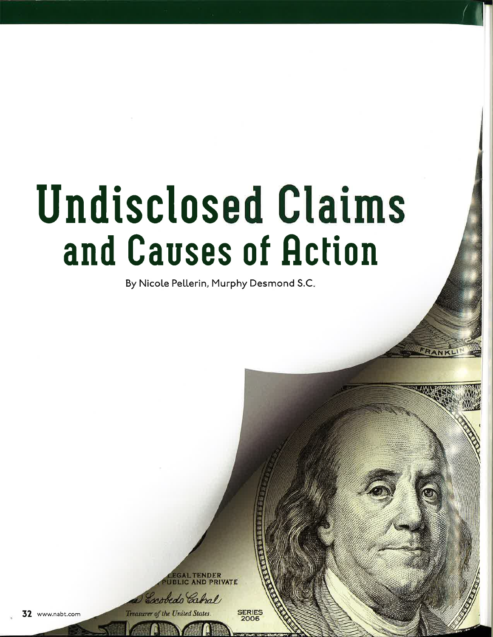## Undisclosed Claims and Causes of Action

By Nicole Pellerin, Murphy Desmond S.C

**CEGAL TENDER<br>JBLIC AND PRIVATE** bedo Cabral

Treasurer of the United States.

32 www.nabt.com

**SERIES**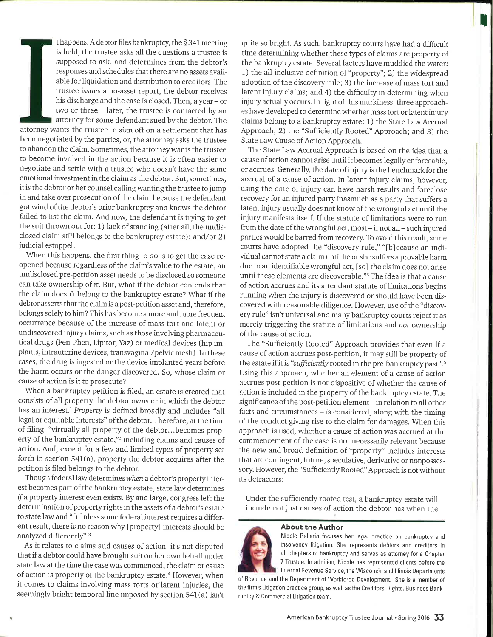t happens. A debtor files bankruptcy, the  $\S 341$  meeting is held, the trustee asks all the questions a trustee is supposed to ask, and determines from the debtor's responses and schedules that there are no assets available for liquidation and distribution to creditors. The trustee issues a no-asset report, the debtor receives his discharge and the case is closed. Then, a year - or two or three - later, the trustee is contacted by an attorney for some defendant sued by the debtor. The attorney wants the trustee to sign off on a settlement that has been negotiated by the parties, or, the attorney asks the trustee to abandon the claim. Sometimes, the attorneywants the trustee to become involved in the action because it is often easier to negotiate and settle with a trustee who doesn't have the same emotional investment in the claim as the debtor. But, sometimes, it is the debtor or her counsel calling wanting the trustee to jump in and take over prosecution of the claim because the defendant got wind of the debtor's prior bankruptcy and knows the debtor failed to list the claim. And now, the defendant is trying to get the suit thrown out for: 1) lack of standing (after all, the undisclosed claim still belongs to the bankruptcy estate); and/or 2) judicial estoppel.

When this happens, the first thing to do is to get the case reopened because regardless of the claim's value to the estate, an undisclosed pre-petition asset needs to be disclosed so someone can take ownership of it. But, what if the debtor contends that the claim doesn't belong to the bankruptcy estate? What if the debtor asserts that the claim is a post-petition asset and, therefore, belongs solely to him? This has become a more and more frequent occurrence because of the increase of mass tort and latent or undiscovered injury claims, such as those involving pharmaceutical drugs (Fen-Phen, Lipitor, Yaz) or medical devices (hip implants, intrauterine devices, transvaginal/pelvic mesh). In these cases, the drug is ingested or the device implanted years before the harm occurs or the danger discovered. So, whose claim or cause of action is it to prosecute?

When a bankruptcy petition is filed, an estate is created that consists of all property the debtor owns or in which the debtor has an interest.<sup>1</sup> Property is defined broadly and includes "all legal or equitable interests" of the debtor. Therefore, at the time of filing, "virtually all property of the debtor...becomes property of the bankruptcy estate,"<sup>2</sup> including claims and causes of action. And, except for a few and limited types of property set forth in section 541(a), properry the debtor acquires after the petition is filed belongs to the debtor.

Though federal law determineswhen a debtor's property interest becomes part of the bankruptcy estate, state law determines  $if a property interest even exists. By and large, Congress left the$ determination of property rights in the assets of a debtor's estate to state law and "[u]nless some federal interest requires a different result, there is no reason why [property] interests should be analyzed differently".<sup>3</sup>

As it relates to claims and causes of action, it's not disputed that if a debtor could have brought suit on her own behalf under state law at the time the case was commenced, the claim or cause of action is property of the bankruptcy estate.<sup>4</sup> However, when it comes to claims involving mass torts or'latent injuries, the seemingly bright temporal line imposed by section 541(a) isn't

quite so bright. As such, bankruptcy courts have had a difficult time determining whether these types of claims are property of the bankruptcy estate. Several factors have muddied the water: 1) the all-inclusive definition of "property"; 2) the widespread adoption of the discovery rule; 3) the increase of mass tort and latent injury claims; and 4) the difficulty in determining when injury actually occurs. In light of this murkiness, three approaches have developed to determine whether mass tort or latent injury claims belong to a bankruptcy estate: 1) the State Law Accrual Approach; 2) the "Sufficiently Rooted" Approach; and 3) the State Law Cause of Action Approach.

t

The State Law Accrual Approach is based on the idea that a cause of action cannot arise until it becomes legally enforceable, or accrues. Generally, the date of injury is the benchmark for the accrual of a cause of action. In latent injury claims, however, using the date of injury can have harsh results and foreclose recovery for an injured party inasmuch as a party that suffers a latent injury usually does not know of the wrongful acr until the injury manifests itself. If the statute of limitations were to run from the date of the wrongful act, most – if not all – such injured parties would be barred from recovery. To avoid this result, some courts have adopted the "discovery rule," "[b]ecause an individual cannot state a claim until he or she suffers a provable harm due to an identifiable wrongful act, [so] the claim does not arise until these elements are discoverable."s The idea is that a cause of action accrues and its attendant statute of limitations begins running when the injury is discovered or should have been discovered with reasonable diligence. However, use of the "discovery rule" isn't universal and many bankruptcy courts reject it as merely triggering the statute of limitations and not ownership of the cause of action.

The "Sufficiently Rooted" Approach provides that even if <sup>a</sup> cause of action accrues post-petition, it may still be property of the estate if it is "sufficiently rooted in the pre-bankruptcy past".<sup>6</sup> Using this approach, whether an element of a cause of action accrues post-petition is not dispositive of whether the cause of action is included in the property of the bankruptcy estate. The significance of the post-petition element - in relation to all other facts and circumstances  $-$  is considered, along with the timing of the conduct giving rise to the claim for damages. When this approach is used, whether a cause of action was accrued at the commencement of the case is not necessarily relevant because the new and broad definition of "property" includes inrerests that are contingent, future, speculative, derivative or nonpossessory. However, the "Sufficiently Rooted" Approach is not without its detractors:

Under the sufficiently rooted test, a bankruptcy estate will include not just causes of action the debtor has when the

## About the Author

Nicole Pellerin focuses her legal practice on bankruptcy and insolvency litigation. She represents debtors and creditors in all chapters of bankruptcy and serves as attorney for a Chapter 7 Trustee. ln addition, Nicole has represented clients before the lnternal Revenue Service, the Wisconsin and lllinois Departments

of Bevenue and the Department of Workforce Development. She is a member of the firm's Litigation practice group, as well as the Creditors' Rights, Business Bankruptcy & Commercial Litigation team.